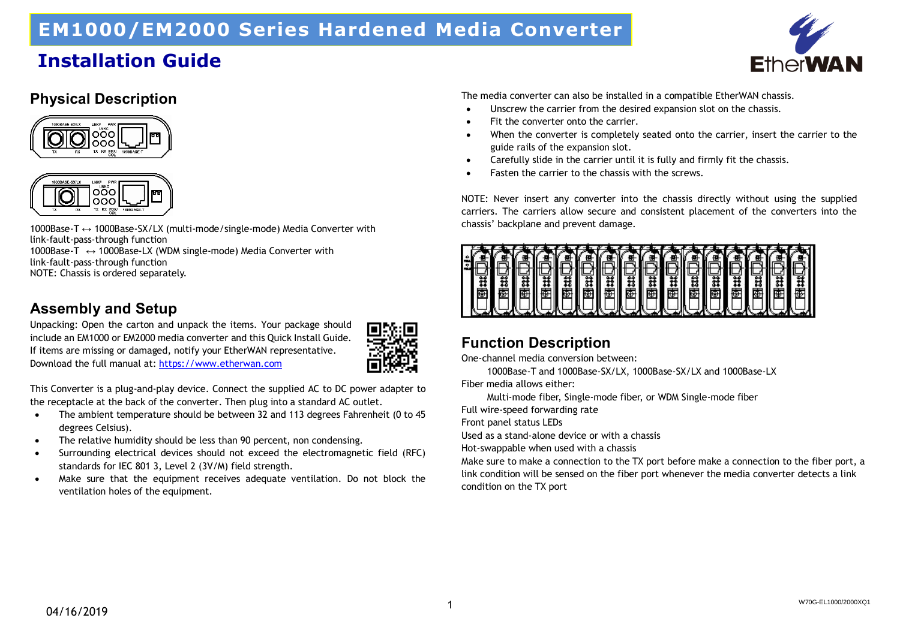# **EM1000/EM2000 Series Hardened Media Converter**

### **Installation Guide**



#### **Physical Description**





1000Base-T ↔ 1000Base-SX/LX (multi-mode/single-mode) Media Converter with link-fault-pass-through function 1000Base-T ↔ 1000Base-LX (WDM single-mode) Media Converter with

link-fault-pass-through function

NOTE: Chassis is ordered separately.

### **Assembly and Setup**

Unpacking: Open the carton and unpack the items. Your package should include an EM1000 or EM2000 media converter and this Quick Install Guide. If items are missing or damaged, notify your EtherWAN representative. Download the full manual at: [https://www.etherwan.com](https://www.etherwan.com/) 



This Converter is a plug-and-play device. Connect the supplied AC to DC power adapter to the receptacle at the back of the converter. Then plug into a standard AC outlet.

- The ambient temperature should be between 32 and 113 degrees Fahrenheit (0 to 45 degrees Celsius).
- The relative humidity should be less than 90 percent, non condensing.
- Surrounding electrical devices should not exceed the electromagnetic field (RFC) standards for IEC 801 3, Level 2 (3V/M) field strength.
- Make sure that the equipment receives adequate ventilation. Do not block the ventilation holes of the equipment.

The media converter can also be installed in a compatible EtherWAN chassis.

- Unscrew the carrier from the desired expansion slot on the chassis.
- Fit the converter onto the carrier.
- When the converter is completely seated onto the carrier, insert the carrier to the guide rails of the expansion slot.
- Carefully slide in the carrier until it is fully and firmly fit the chassis.
- Fasten the carrier to the chassis with the screws.

NOTE: Never insert any converter into the chassis directly without using the supplied carriers. The carriers allow secure and consistent placement of the converters into the chassis' backplane and prevent damage.



### **Function Description**

One-channel media conversion between:

1000Base-T and 1000Base-SX/LX, 1000Base-SX/LX and 1000Base-LX

Fiber media allows either:

Multi-mode fiber, Single-mode fiber, or WDM Single-mode fiber

Full wire-speed forwarding rate

Front panel status LEDs

Used as a stand-alone device or with a chassis

Hot-swappable when used with a chassis

Make sure to make a connection to the TX port before make a connection to the fiber port, a link condition will be sensed on the fiber port whenever the media converter detects a link condition on the TX port